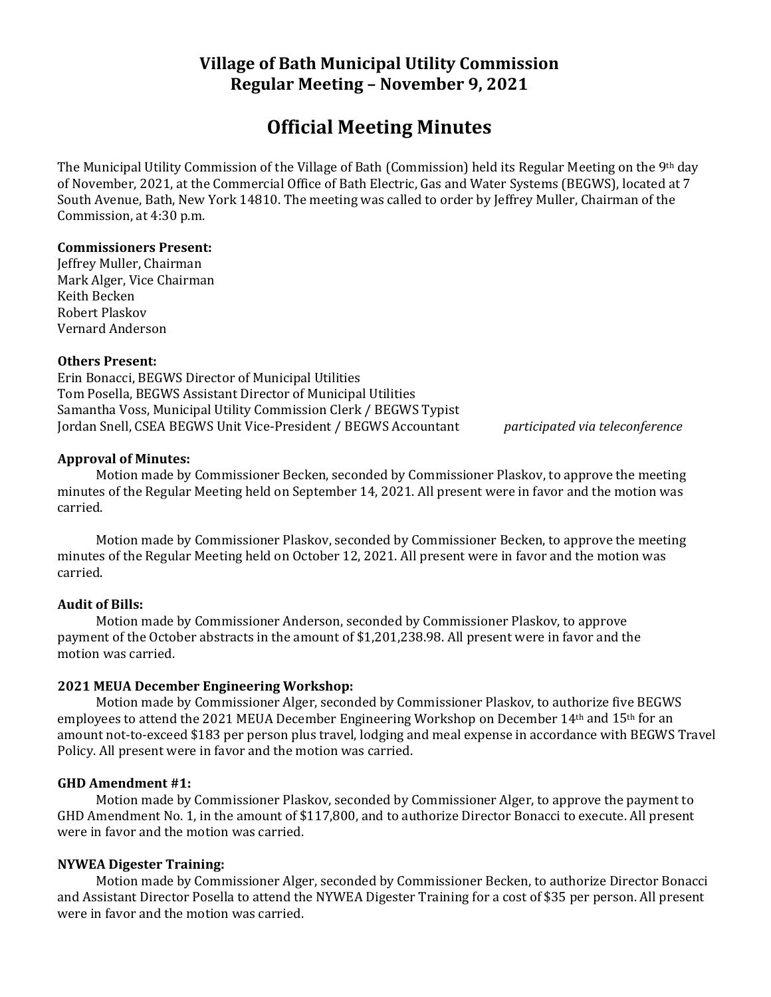# **Village of Bath Municipal Utility Commission Regular Meeting – November 9, 2021**

# **Official Meeting Minutes**

The Municipal Utility Commission of the Village of Bath (Commission) held its Regular Meeting on the 9th day of November, 2021, at the Commercial Office of Bath Electric, Gas and Water Systems (BEGWS), located at 7 South Avenue, Bath, New York 14810. The meeting was called to order by Jeffrey Muller, Chairman of the Commission, at 4:30 p.m.

#### **Commissioners Present:**

Jeffrey Muller, Chairman Mark Alger, Vice Chairman Keith Becken Robert Plaskov Vernard Anderson

#### **Others Present:**

Erin Bonacci, BEGWS Director of Municipal Utilities Tom Posella, BEGWS Assistant Director of Municipal Utilities Samantha Voss, Municipal Utility Commission Clerk / BEGWS Typist Jordan Snell, CSEA BEGWS Unit Vice-President / BEGWS Accountant *participated via teleconference*

**Approval of Minutes:**

Motion made by Commissioner Becken, seconded by Commissioner Plaskov, to approve the meeting minutes of the Regular Meeting held on September 14, 2021. All present were in favor and the motion was carried.

Motion made by Commissioner Plaskov, seconded by Commissioner Becken, to approve the meeting minutes of the Regular Meeting held on October 12, 2021. All present were in favor and the motion was carried.

## **Audit of Bills:**

Motion made by Commissioner Anderson, seconded by Commissioner Plaskov, to approve payment of the October abstracts in the amount of \$1,201,238.98. All present were in favor and the motion was carried.

## **2021 MEUA December Engineering Workshop:**

Motion made by Commissioner Alger, seconded by Commissioner Plaskov, to authorize five BEGWS employees to attend the 2021 MEUA December Engineering Workshop on December 14th and 15th for an amount not-to-exceed \$183 per person plus travel, lodging and meal expense in accordance with BEGWS Travel Policy. All present were in favor and the motion was carried.

#### **GHD Amendment #1:**

Motion made by Commissioner Plaskov, seconded by Commissioner Alger, to approve the payment to GHD Amendment No. 1, in the amount of \$117,800, and to authorize Director Bonacci to execute. All present were in favor and the motion was carried.

## **NYWEA Digester Training:**

Motion made by Commissioner Alger, seconded by Commissioner Becken, to authorize Director Bonacci and Assistant Director Posella to attend the NYWEA Digester Training for a cost of \$35 per person. All present were in favor and the motion was carried.